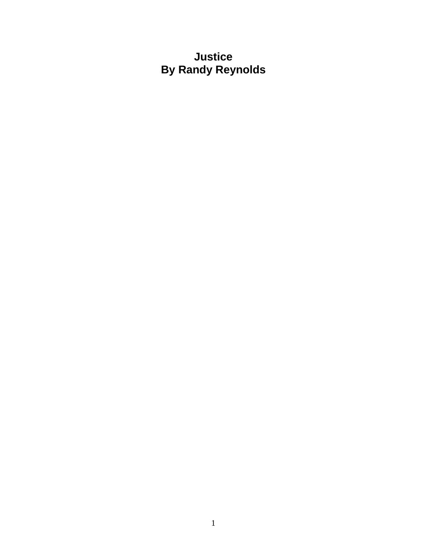**Justice By Randy Reynolds**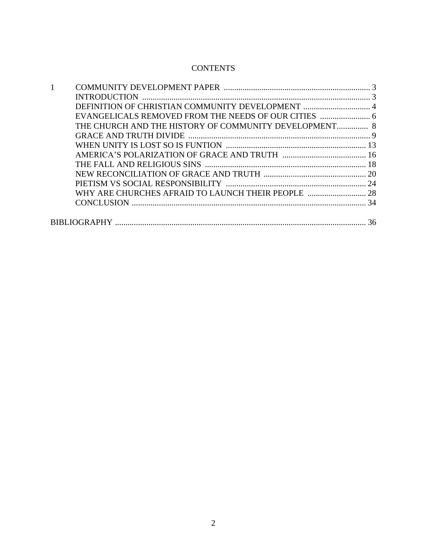# **CONTENTS**

| THE CHURCH AND THE HISTORY OF COMMUNITY DEVELOPMENT 8 |  |
|-------------------------------------------------------|--|
|                                                       |  |
|                                                       |  |
|                                                       |  |
|                                                       |  |
|                                                       |  |
|                                                       |  |
| WHY ARE CHURCHES AFRAID TO LAUNCH THEIR PEOPLE  28    |  |
|                                                       |  |
|                                                       |  |
|                                                       |  |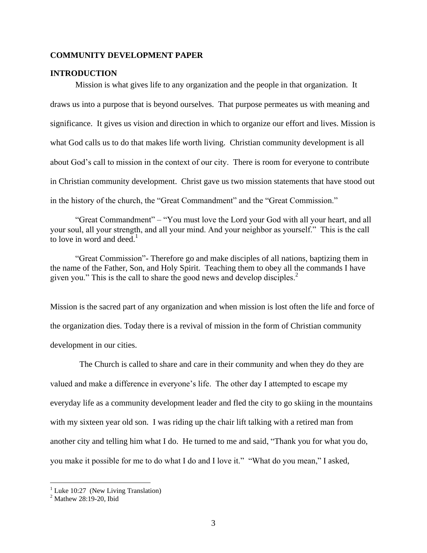### **COMMUNITY DEVELOPMENT PAPER**

# **INTRODUCTION**

Mission is what gives life to any organization and the people in that organization. It draws us into a purpose that is beyond ourselves. That purpose permeates us with meaning and significance. It gives us vision and direction in which to organize our effort and lives. Mission is what God calls us to do that makes life worth living. Christian community development is all about God's call to mission in the context of our city. There is room for everyone to contribute in Christian community development. Christ gave us two mission statements that have stood out in the history of the church, the "Great Commandment" and the "Great Commission."

"Great Commandment" – "You must love the Lord your God with all your heart, and all your soul, all your strength, and all your mind. And your neighbor as yourself." This is the call to love in word and deed. $<sup>1</sup>$ </sup>

"Great Commission"- Therefore go and make disciples of all nations, baptizing them in the name of the Father, Son, and Holy Spirit. Teaching them to obey all the commands I have given you." This is the call to share the good news and develop disciples. $2^2$ 

Mission is the sacred part of any organization and when mission is lost often the life and force of the organization dies. Today there is a revival of mission in the form of Christian community development in our cities.

 The Church is called to share and care in their community and when they do they are valued and make a difference in everyone's life. The other day I attempted to escape my everyday life as a community development leader and fled the city to go skiing in the mountains with my sixteen year old son. I was riding up the chair lift talking with a retired man from another city and telling him what I do. He turned to me and said, "Thank you for what you do, you make it possible for me to do what I do and I love it." "What do you mean," I asked,

 $1$  Luke 10:27 (New Living Translation)

<sup>2</sup> Mathew 28:19-20, Ibid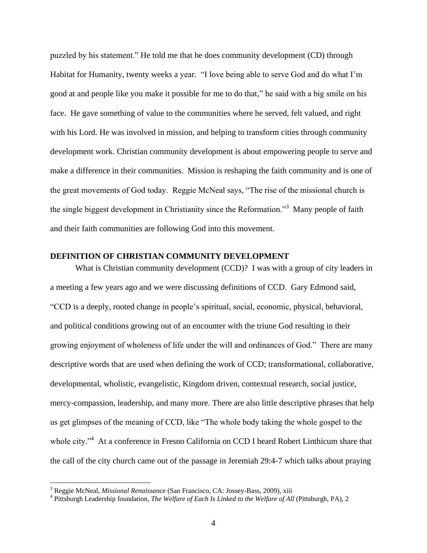puzzled by his statement." He told me that he does community development (CD) through Habitat for Humanity, twenty weeks a year. "I love being able to serve God and do what I'm good at and people like you make it possible for me to do that," he said with a big smile on his face. He gave something of value to the communities where he served, felt valued, and right with his Lord. He was involved in mission, and helping to transform cities through community development work. Christian community development is about empowering people to serve and make a difference in their communities. Mission is reshaping the faith community and is one of the great movements of God today. Reggie McNeal says, "The rise of the missional church is the single biggest development in Christianity since the Reformation."<sup>3</sup> Many people of faith and their faith communities are following God into this movement.

# **DEFINITION OF CHRISTIAN COMMUNITY DEVELOPMENT**

What is Christian community development (CCD)? I was with a group of city leaders in a meeting a few years ago and we were discussing definitions of CCD. Gary Edmond said, "CCD is a deeply, rooted change in people's spiritual, social, economic, physical, behavioral, and political conditions growing out of an encounter with the triune God resulting in their growing enjoyment of wholeness of life under the will and ordinances of God." There are many descriptive words that are used when defining the work of CCD; transformational, collaborative, developmental, wholistic, evangelistic, Kingdom driven, contextual research, social justice, mercy-compassion, leadership, and many more. There are also little descriptive phrases that help us get glimpses of the meaning of CCD, like "The whole body taking the whole gospel to the whole city."<sup>4</sup> At a conference in Fresno California on CCD I heard Robert Linthicum share that the call of the city church came out of the passage in Jeremiah 29:4-7 which talks about praying

<sup>3</sup> Reggie McNeal, *Missional Renaissance* (San Francisco, CA: Jossey-Bass, 2009), xiii

<sup>4</sup> Pittsburgh Leadership foundation, *The Welfare of Each Is Linked to the Welfare of All* (Pittsburgh, PA), 2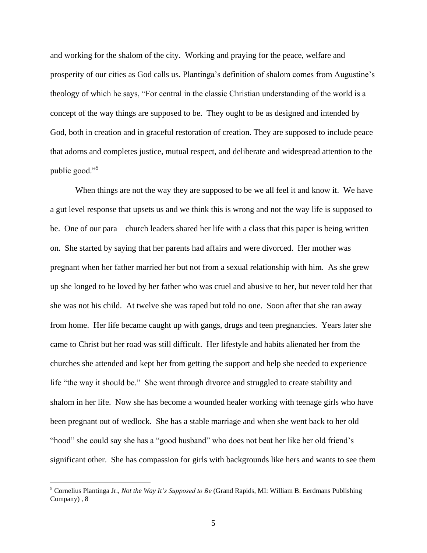and working for the shalom of the city. Working and praying for the peace, welfare and prosperity of our cities as God calls us. Plantinga's definition of shalom comes from Augustine's theology of which he says, "For central in the classic Christian understanding of the world is a concept of the way things are supposed to be. They ought to be as designed and intended by God, both in creation and in graceful restoration of creation. They are supposed to include peace that adorns and completes justice, mutual respect, and deliberate and widespread attention to the public good."<sup>5</sup>

When things are not the way they are supposed to be we all feel it and know it. We have a gut level response that upsets us and we think this is wrong and not the way life is supposed to be. One of our para – church leaders shared her life with a class that this paper is being written on. She started by saying that her parents had affairs and were divorced. Her mother was pregnant when her father married her but not from a sexual relationship with him. As she grew up she longed to be loved by her father who was cruel and abusive to her, but never told her that she was not his child. At twelve she was raped but told no one. Soon after that she ran away from home. Her life became caught up with gangs, drugs and teen pregnancies. Years later she came to Christ but her road was still difficult. Her lifestyle and habits alienated her from the churches she attended and kept her from getting the support and help she needed to experience life "the way it should be." She went through divorce and struggled to create stability and shalom in her life. Now she has become a wounded healer working with teenage girls who have been pregnant out of wedlock. She has a stable marriage and when she went back to her old "hood" she could say she has a "good husband" who does not beat her like her old friend's significant other. She has compassion for girls with backgrounds like hers and wants to see them

<sup>5</sup> Cornelius Plantinga Jr., *Not the Way It's Supposed to Be* (Grand Rapids, MI: William B. Eerdmans Publishing Company) , 8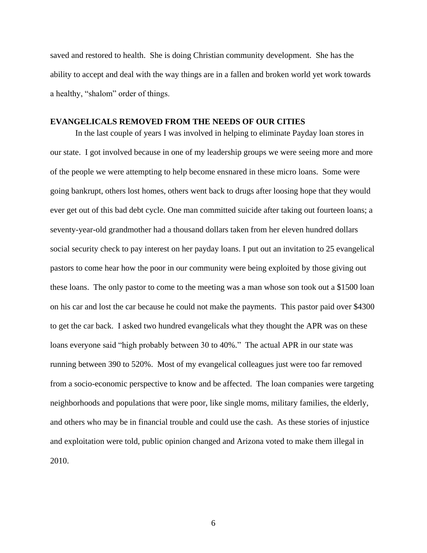saved and restored to health. She is doing Christian community development. She has the ability to accept and deal with the way things are in a fallen and broken world yet work towards a healthy, "shalom" order of things.

## **EVANGELICALS REMOVED FROM THE NEEDS OF OUR CITIES**

In the last couple of years I was involved in helping to eliminate Payday loan stores in our state. I got involved because in one of my leadership groups we were seeing more and more of the people we were attempting to help become ensnared in these micro loans. Some were going bankrupt, others lost homes, others went back to drugs after loosing hope that they would ever get out of this bad debt cycle. One man committed suicide after taking out fourteen loans; a seventy-year-old grandmother had a thousand dollars taken from her eleven hundred dollars social security check to pay interest on her payday loans. I put out an invitation to 25 evangelical pastors to come hear how the poor in our community were being exploited by those giving out these loans. The only pastor to come to the meeting was a man whose son took out a \$1500 loan on his car and lost the car because he could not make the payments. This pastor paid over \$4300 to get the car back. I asked two hundred evangelicals what they thought the APR was on these loans everyone said "high probably between 30 to 40%." The actual APR in our state was running between 390 to 520%. Most of my evangelical colleagues just were too far removed from a socio-economic perspective to know and be affected. The loan companies were targeting neighborhoods and populations that were poor, like single moms, military families, the elderly, and others who may be in financial trouble and could use the cash. As these stories of injustice and exploitation were told, public opinion changed and Arizona voted to make them illegal in 2010.

6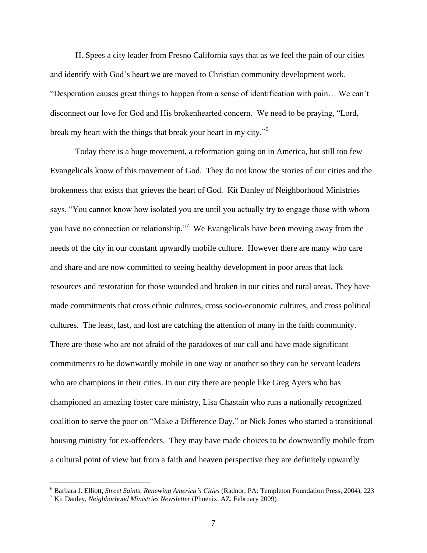H. Spees a city leader from Fresno California says that as we feel the pain of our cities and identify with God's heart we are moved to Christian community development work. "Desperation causes great things to happen from a sense of identification with pain… We can't disconnect our love for God and His brokenhearted concern. We need to be praying, "Lord, break my heart with the things that break your heart in my city."<sup>6</sup>

Today there is a huge movement, a reformation going on in America, but still too few Evangelicals know of this movement of God. They do not know the stories of our cities and the brokenness that exists that grieves the heart of God. Kit Danley of Neighborhood Ministries says, "You cannot know how isolated you are until you actually try to engage those with whom you have no connection or relationship."<sup>7</sup> We Evangelicals have been moving away from the needs of the city in our constant upwardly mobile culture. However there are many who care and share and are now committed to seeing healthy development in poor areas that lack resources and restoration for those wounded and broken in our cities and rural areas. They have made commitments that cross ethnic cultures, cross socio-economic cultures, and cross political cultures. The least, last, and lost are catching the attention of many in the faith community. There are those who are not afraid of the paradoxes of our call and have made significant commitments to be downwardly mobile in one way or another so they can be servant leaders who are champions in their cities. In our city there are people like Greg Ayers who has championed an amazing foster care ministry, Lisa Chastain who runs a nationally recognized coalition to serve the poor on "Make a Difference Day," or Nick Jones who started a transitional housing ministry for ex-offenders. They may have made choices to be downwardly mobile from a cultural point of view but from a faith and heaven perspective they are definitely upwardly

<sup>6</sup> Barbara J. Elliott, *Street Saints, Renewing America's Cities* (Radnor, PA: Templeton Foundation Press, 2004), 223

<sup>7</sup> Kit Danley, *Neighborhood Ministries Newsletter* (Phoenix, AZ, February 2009)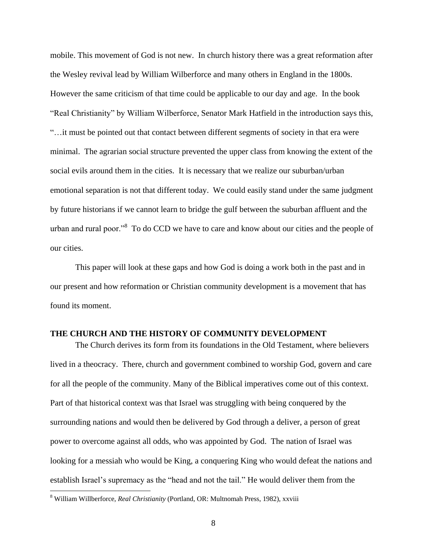mobile. This movement of God is not new. In church history there was a great reformation after the Wesley revival lead by William Wilberforce and many others in England in the 1800s. However the same criticism of that time could be applicable to our day and age. In the book "Real Christianity" by William Wilberforce, Senator Mark Hatfield in the introduction says this, "…it must be pointed out that contact between different segments of society in that era were minimal. The agrarian social structure prevented the upper class from knowing the extent of the social evils around them in the cities. It is necessary that we realize our suburban/urban emotional separation is not that different today. We could easily stand under the same judgment by future historians if we cannot learn to bridge the gulf between the suburban affluent and the urban and rural poor."<sup>8</sup> To do CCD we have to care and know about our cities and the people of our cities.

This paper will look at these gaps and how God is doing a work both in the past and in our present and how reformation or Christian community development is a movement that has found its moment.

### **THE CHURCH AND THE HISTORY OF COMMUNITY DEVELOPMENT**

The Church derives its form from its foundations in the Old Testament, where believers lived in a theocracy. There, church and government combined to worship God, govern and care for all the people of the community. Many of the Biblical imperatives come out of this context. Part of that historical context was that Israel was struggling with being conquered by the surrounding nations and would then be delivered by God through a deliver, a person of great power to overcome against all odds, who was appointed by God. The nation of Israel was looking for a messiah who would be King, a conquering King who would defeat the nations and establish Israel's supremacy as the "head and not the tail." He would deliver them from the  $\overline{a}$ 

<sup>8</sup> William Willberforce, *Real Christianity* (Portland, OR: Multnomah Press, 1982), xxviii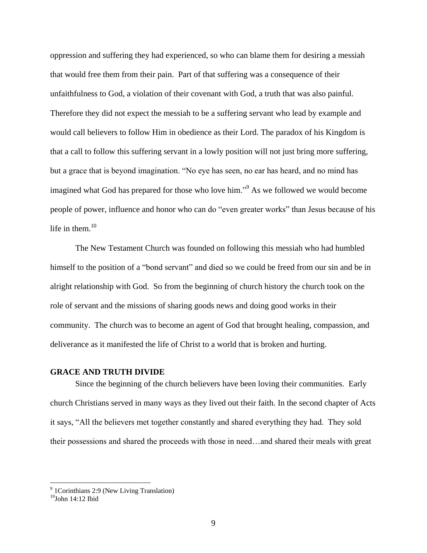oppression and suffering they had experienced, so who can blame them for desiring a messiah that would free them from their pain. Part of that suffering was a consequence of their unfaithfulness to God, a violation of their covenant with God, a truth that was also painful. Therefore they did not expect the messiah to be a suffering servant who lead by example and would call believers to follow Him in obedience as their Lord. The paradox of his Kingdom is that a call to follow this suffering servant in a lowly position will not just bring more suffering, but a grace that is beyond imagination. "No eye has seen, no ear has heard, and no mind has imagined what God has prepared for those who love him."<sup>9</sup> As we followed we would become people of power, influence and honor who can do "even greater works" than Jesus because of his life in them. $10$ 

The New Testament Church was founded on following this messiah who had humbled himself to the position of a "bond servant" and died so we could be freed from our sin and be in alright relationship with God. So from the beginning of church history the church took on the role of servant and the missions of sharing goods news and doing good works in their community. The church was to become an agent of God that brought healing, compassion, and deliverance as it manifested the life of Christ to a world that is broken and hurting.

# **GRACE AND TRUTH DIVIDE**

Since the beginning of the church believers have been loving their communities. Early church Christians served in many ways as they lived out their faith. In the second chapter of Acts it says, "All the believers met together constantly and shared everything they had. They sold their possessions and shared the proceeds with those in need…and shared their meals with great

<sup>&</sup>lt;sup>9</sup> 1 Corinthians 2:9 (New Living Translation)

 $10$ Iohn 14:12 Ibid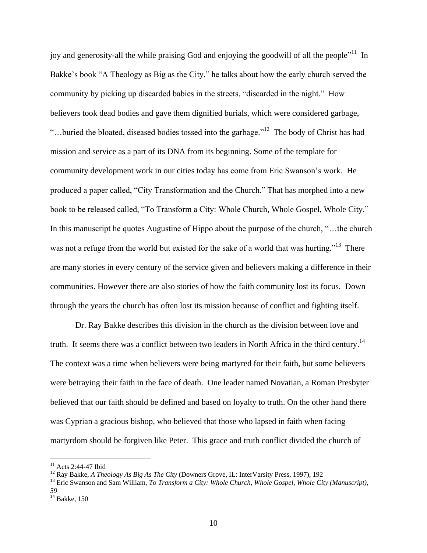joy and generosity-all the while praising God and enjoying the goodwill of all the people<sup>11</sup> In Bakke's book "A Theology as Big as the City," he talks about how the early church served the community by picking up discarded babies in the streets, "discarded in the night." How believers took dead bodies and gave them dignified burials, which were considered garbage, "...buried the bloated, diseased bodies tossed into the garbage."<sup>12</sup> The body of Christ has had mission and service as a part of its DNA from its beginning. Some of the template for community development work in our cities today has come from Eric Swanson's work. He produced a paper called, "City Transformation and the Church." That has morphed into a new book to be released called, "To Transform a City: Whole Church, Whole Gospel, Whole City." In this manuscript he quotes Augustine of Hippo about the purpose of the church, "…the church was not a refuge from the world but existed for the sake of a world that was hurting."<sup>13</sup> There are many stories in every century of the service given and believers making a difference in their communities. However there are also stories of how the faith community lost its focus. Down through the years the church has often lost its mission because of conflict and fighting itself.

Dr. Ray Bakke describes this division in the church as the division between love and truth. It seems there was a conflict between two leaders in North Africa in the third century.<sup>14</sup> The context was a time when believers were being martyred for their faith, but some believers were betraying their faith in the face of death. One leader named Novatian, a Roman Presbyter believed that our faith should be defined and based on loyalty to truth. On the other hand there was Cyprian a gracious bishop, who believed that those who lapsed in faith when facing martyrdom should be forgiven like Peter. This grace and truth conflict divided the church of

 $11$  Acts 2:44-47 Ibid

<sup>12</sup> Ray Bakke, *A Theology As Big As The City* (Downers Grove, IL: InterVarsity Press, 1997), 192

<sup>13</sup> Eric Swanson and Sam William, *To Transform a City: Whole Church, Whole Gospel, Whole City (Manuscript), 59* 

 $14$  Bakke, 150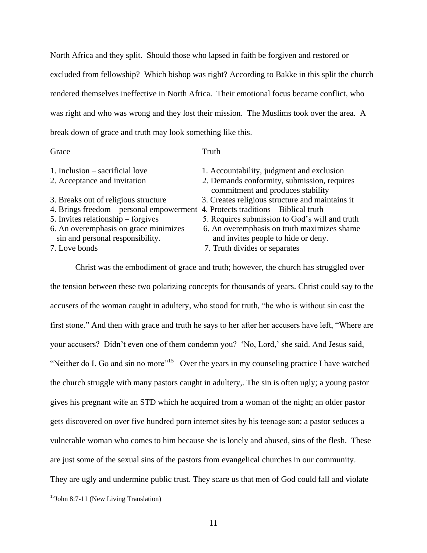North Africa and they split. Should those who lapsed in faith be forgiven and restored or excluded from fellowship? Which bishop was right? According to Bakke in this split the church rendered themselves ineffective in North Africa. Their emotional focus became conflict, who was right and who was wrong and they lost their mission. The Muslims took over the area. A break down of grace and truth may look something like this.

## Grace Truth

| 2. Demands conformity, submission, requires     |
|-------------------------------------------------|
| 3. Creates religious structure and maintains it |
|                                                 |
| 5. Requires submission to God's will and truth  |
| 6. An overemphasis on truth maximizes shame     |
|                                                 |
|                                                 |

Christ was the embodiment of grace and truth; however, the church has struggled over the tension between these two polarizing concepts for thousands of years. Christ could say to the accusers of the woman caught in adultery, who stood for truth, "he who is without sin cast the first stone." And then with grace and truth he says to her after her accusers have left, "Where are your accusers? Didn't even one of them condemn you? 'No, Lord,' she said. And Jesus said, "Neither do I. Go and sin no more"<sup>15</sup> Over the years in my counseling practice I have watched the church struggle with many pastors caught in adultery,. The sin is often ugly; a young pastor gives his pregnant wife an STD which he acquired from a woman of the night; an older pastor gets discovered on over five hundred porn internet sites by his teenage son; a pastor seduces a vulnerable woman who comes to him because she is lonely and abused, sins of the flesh. These are just some of the sexual sins of the pastors from evangelical churches in our community. They are ugly and undermine public trust. They scare us that men of God could fall and violate

 $15$ John 8:7-11 (New Living Translation)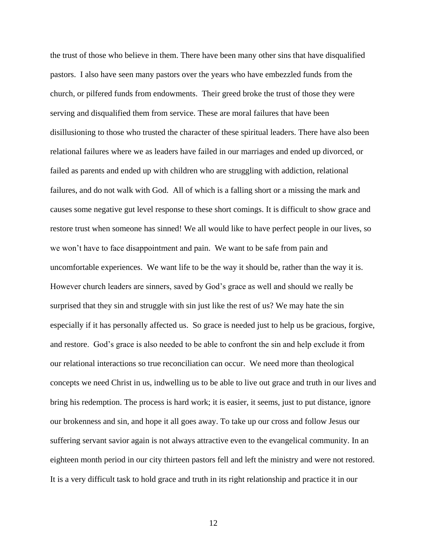the trust of those who believe in them. There have been many other sins that have disqualified pastors. I also have seen many pastors over the years who have embezzled funds from the church, or pilfered funds from endowments. Their greed broke the trust of those they were serving and disqualified them from service. These are moral failures that have been disillusioning to those who trusted the character of these spiritual leaders. There have also been relational failures where we as leaders have failed in our marriages and ended up divorced, or failed as parents and ended up with children who are struggling with addiction, relational failures, and do not walk with God. All of which is a falling short or a missing the mark and causes some negative gut level response to these short comings. It is difficult to show grace and restore trust when someone has sinned! We all would like to have perfect people in our lives, so we won't have to face disappointment and pain. We want to be safe from pain and uncomfortable experiences. We want life to be the way it should be, rather than the way it is. However church leaders are sinners, saved by God's grace as well and should we really be surprised that they sin and struggle with sin just like the rest of us? We may hate the sin especially if it has personally affected us. So grace is needed just to help us be gracious, forgive, and restore. God's grace is also needed to be able to confront the sin and help exclude it from our relational interactions so true reconciliation can occur. We need more than theological concepts we need Christ in us, indwelling us to be able to live out grace and truth in our lives and bring his redemption. The process is hard work; it is easier, it seems, just to put distance, ignore our brokenness and sin, and hope it all goes away. To take up our cross and follow Jesus our suffering servant savior again is not always attractive even to the evangelical community. In an eighteen month period in our city thirteen pastors fell and left the ministry and were not restored. It is a very difficult task to hold grace and truth in its right relationship and practice it in our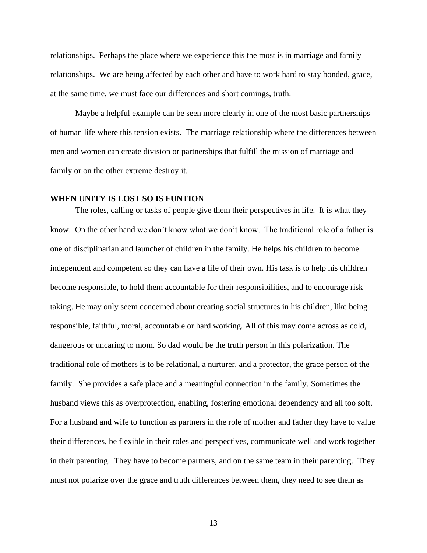relationships. Perhaps the place where we experience this the most is in marriage and family relationships. We are being affected by each other and have to work hard to stay bonded, grace, at the same time, we must face our differences and short comings, truth.

Maybe a helpful example can be seen more clearly in one of the most basic partnerships of human life where this tension exists. The marriage relationship where the differences between men and women can create division or partnerships that fulfill the mission of marriage and family or on the other extreme destroy it.

# **WHEN UNITY IS LOST SO IS FUNTION**

The roles, calling or tasks of people give them their perspectives in life. It is what they know. On the other hand we don't know what we don't know. The traditional role of a father is one of disciplinarian and launcher of children in the family. He helps his children to become independent and competent so they can have a life of their own. His task is to help his children become responsible, to hold them accountable for their responsibilities, and to encourage risk taking. He may only seem concerned about creating social structures in his children, like being responsible, faithful, moral, accountable or hard working. All of this may come across as cold, dangerous or uncaring to mom. So dad would be the truth person in this polarization. The traditional role of mothers is to be relational, a nurturer, and a protector, the grace person of the family. She provides a safe place and a meaningful connection in the family. Sometimes the husband views this as overprotection, enabling, fostering emotional dependency and all too soft. For a husband and wife to function as partners in the role of mother and father they have to value their differences, be flexible in their roles and perspectives, communicate well and work together in their parenting. They have to become partners, and on the same team in their parenting. They must not polarize over the grace and truth differences between them, they need to see them as

13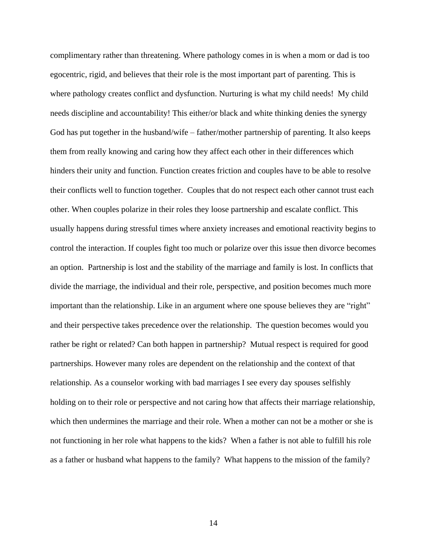complimentary rather than threatening. Where pathology comes in is when a mom or dad is too egocentric, rigid, and believes that their role is the most important part of parenting. This is where pathology creates conflict and dysfunction. Nurturing is what my child needs! My child needs discipline and accountability! This either/or black and white thinking denies the synergy God has put together in the husband/wife – father/mother partnership of parenting. It also keeps them from really knowing and caring how they affect each other in their differences which hinders their unity and function. Function creates friction and couples have to be able to resolve their conflicts well to function together. Couples that do not respect each other cannot trust each other. When couples polarize in their roles they loose partnership and escalate conflict. This usually happens during stressful times where anxiety increases and emotional reactivity begins to control the interaction. If couples fight too much or polarize over this issue then divorce becomes an option. Partnership is lost and the stability of the marriage and family is lost. In conflicts that divide the marriage, the individual and their role, perspective, and position becomes much more important than the relationship. Like in an argument where one spouse believes they are "right" and their perspective takes precedence over the relationship. The question becomes would you rather be right or related? Can both happen in partnership? Mutual respect is required for good partnerships. However many roles are dependent on the relationship and the context of that relationship. As a counselor working with bad marriages I see every day spouses selfishly holding on to their role or perspective and not caring how that affects their marriage relationship, which then undermines the marriage and their role. When a mother can not be a mother or she is not functioning in her role what happens to the kids? When a father is not able to fulfill his role as a father or husband what happens to the family? What happens to the mission of the family?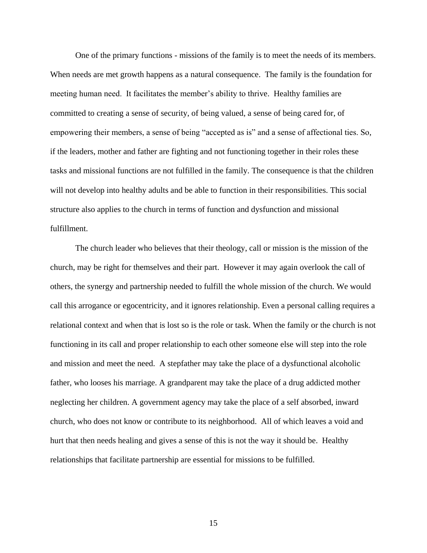One of the primary functions - missions of the family is to meet the needs of its members. When needs are met growth happens as a natural consequence. The family is the foundation for meeting human need. It facilitates the member's ability to thrive. Healthy families are committed to creating a sense of security, of being valued, a sense of being cared for, of empowering their members, a sense of being "accepted as is" and a sense of affectional ties. So, if the leaders, mother and father are fighting and not functioning together in their roles these tasks and missional functions are not fulfilled in the family. The consequence is that the children will not develop into healthy adults and be able to function in their responsibilities. This social structure also applies to the church in terms of function and dysfunction and missional fulfillment.

The church leader who believes that their theology, call or mission is the mission of the church, may be right for themselves and their part. However it may again overlook the call of others, the synergy and partnership needed to fulfill the whole mission of the church. We would call this arrogance or egocentricity, and it ignores relationship. Even a personal calling requires a relational context and when that is lost so is the role or task. When the family or the church is not functioning in its call and proper relationship to each other someone else will step into the role and mission and meet the need. A stepfather may take the place of a dysfunctional alcoholic father, who looses his marriage. A grandparent may take the place of a drug addicted mother neglecting her children. A government agency may take the place of a self absorbed, inward church, who does not know or contribute to its neighborhood. All of which leaves a void and hurt that then needs healing and gives a sense of this is not the way it should be. Healthy relationships that facilitate partnership are essential for missions to be fulfilled.

15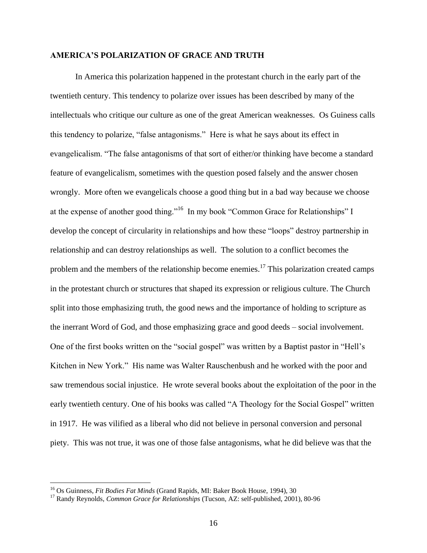## **AMERICA'S POLARIZATION OF GRACE AND TRUTH**

In America this polarization happened in the protestant church in the early part of the twentieth century. This tendency to polarize over issues has been described by many of the intellectuals who critique our culture as one of the great American weaknesses. Os Guiness calls this tendency to polarize, "false antagonisms." Here is what he says about its effect in evangelicalism. "The false antagonisms of that sort of either/or thinking have become a standard feature of evangelicalism, sometimes with the question posed falsely and the answer chosen wrongly. More often we evangelicals choose a good thing but in a bad way because we choose at the expense of another good thing."<sup>16</sup> In my book "Common Grace for Relationships" I develop the concept of circularity in relationships and how these "loops" destroy partnership in relationship and can destroy relationships as well. The solution to a conflict becomes the problem and the members of the relationship become enemies.<sup>17</sup> This polarization created camps in the protestant church or structures that shaped its expression or religious culture. The Church split into those emphasizing truth, the good news and the importance of holding to scripture as the inerrant Word of God, and those emphasizing grace and good deeds – social involvement. One of the first books written on the "social gospel" was written by a Baptist pastor in "Hell's Kitchen in New York." His name was Walter Rauschenbush and he worked with the poor and saw tremendous social injustice. He wrote several books about the exploitation of the poor in the early twentieth century. One of his books was called "A Theology for the Social Gospel" written in 1917. He was vilified as a liberal who did not believe in personal conversion and personal piety. This was not true, it was one of those false antagonisms, what he did believe was that the

<sup>16</sup> Os Guinness, *Fit Bodies Fat Minds* (Grand Rapids, MI: Baker Book House, 1994), 30

<sup>17</sup> Randy Reynolds, *Common Grace for Relationships* (Tucson, AZ: self-published, 2001), 80-96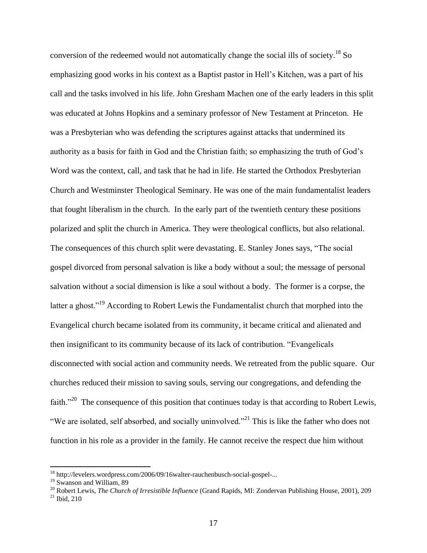conversion of the redeemed would not automatically change the social ills of society.<sup>18</sup> So emphasizing good works in his context as a Baptist pastor in Hell's Kitchen, was a part of his call and the tasks involved in his life. John Gresham Machen one of the early leaders in this split was educated at Johns Hopkins and a seminary professor of New Testament at Princeton. He was a Presbyterian who was defending the scriptures against attacks that undermined its authority as a basis for faith in God and the Christian faith; so emphasizing the truth of God's Word was the context, call, and task that he had in life. He started the Orthodox Presbyterian Church and Westminster Theological Seminary. He was one of the main fundamentalist leaders that fought liberalism in the church. In the early part of the twentieth century these positions polarized and split the church in America. They were theological conflicts, but also relational. The consequences of this church split were devastating. E. Stanley Jones says, "The social gospel divorced from personal salvation is like a body without a soul; the message of personal salvation without a social dimension is like a soul without a body. The former is a corpse, the latter a ghost."<sup>19</sup> According to Robert Lewis the Fundamentalist church that morphed into the Evangelical church became isolated from its community, it became critical and alienated and then insignificant to its community because of its lack of contribution. "Evangelicals disconnected with social action and community needs. We retreated from the public square. Our churches reduced their mission to saving souls, serving our congregations, and defending the faith."<sup>20</sup> The consequence of this position that continues today is that according to Robert Lewis, "We are isolated, self absorbed, and socially uninvolved."<sup>21</sup> This is like the father who does not function in his role as a provider in the family. He cannot receive the respect due him without

<sup>&</sup>lt;sup>18</sup> http://levelers.wordpress.com/2006/09/16walter-rauchenbusch-social-gospel-...

<sup>&</sup>lt;sup>19</sup> Swanson and William, 89

<sup>20</sup> Robert Lewis, *The Church of Irresistible Influence* (Grand Rapids, MI: Zondervan Publishing House, 2001), 209 <sup>21</sup> Ibid, 210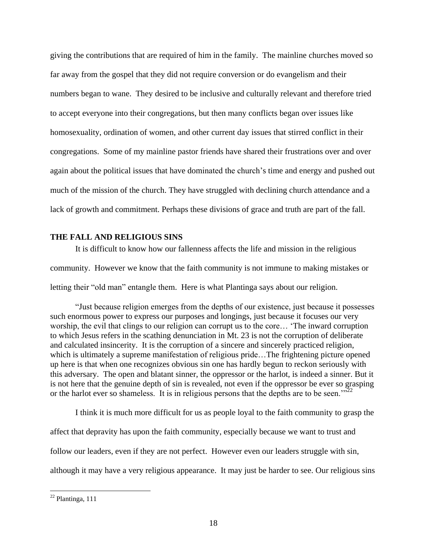giving the contributions that are required of him in the family. The mainline churches moved so far away from the gospel that they did not require conversion or do evangelism and their numbers began to wane. They desired to be inclusive and culturally relevant and therefore tried to accept everyone into their congregations, but then many conflicts began over issues like homosexuality, ordination of women, and other current day issues that stirred conflict in their congregations. Some of my mainline pastor friends have shared their frustrations over and over again about the political issues that have dominated the church's time and energy and pushed out much of the mission of the church. They have struggled with declining church attendance and a lack of growth and commitment. Perhaps these divisions of grace and truth are part of the fall.

# **THE FALL AND RELIGIOUS SINS**

It is difficult to know how our fallenness affects the life and mission in the religious community. However we know that the faith community is not immune to making mistakes or letting their "old man" entangle them. Here is what Plantinga says about our religion.

"Just because religion emerges from the depths of our existence, just because it possesses such enormous power to express our purposes and longings, just because it focuses our very worship, the evil that clings to our religion can corrupt us to the core… 'The inward corruption to which Jesus refers in the scathing denunciation in Mt. 23 is not the corruption of deliberate and calculated insincerity. It is the corruption of a sincere and sincerely practiced religion, which is ultimately a supreme manifestation of religious pride...The frightening picture opened up here is that when one recognizes obvious sin one has hardly begun to reckon seriously with this adversary. The open and blatant sinner, the oppressor or the harlot, is indeed a sinner. But it is not here that the genuine depth of sin is revealed, not even if the oppressor be ever so grasping or the harlot ever so shameless. It is in religious persons that the depths are to be seen." $^{322}$ 

I think it is much more difficult for us as people loyal to the faith community to grasp the affect that depravity has upon the faith community, especially because we want to trust and follow our leaders, even if they are not perfect. However even our leaders struggle with sin, although it may have a very religious appearance. It may just be harder to see. Our religious sins

 $22$  Plantinga, 111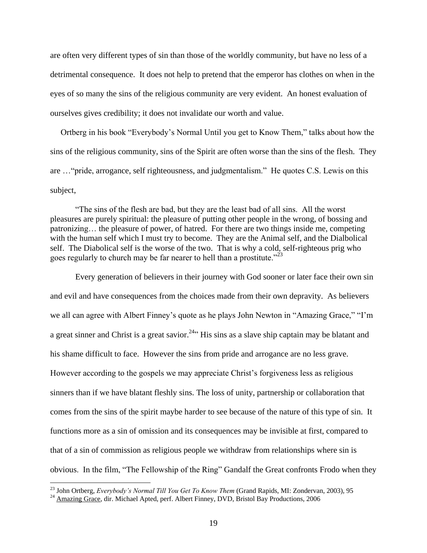are often very different types of sin than those of the worldly community, but have no less of a detrimental consequence. It does not help to pretend that the emperor has clothes on when in the eyes of so many the sins of the religious community are very evident. An honest evaluation of ourselves gives credibility; it does not invalidate our worth and value.

 Ortberg in his book "Everybody's Normal Until you get to Know Them," talks about how the sins of the religious community, sins of the Spirit are often worse than the sins of the flesh. They are …"pride, arrogance, self righteousness, and judgmentalism." He quotes C.S. Lewis on this subject,

"The sins of the flesh are bad, but they are the least bad of all sins. All the worst pleasures are purely spiritual: the pleasure of putting other people in the wrong, of bossing and patronizing… the pleasure of power, of hatred. For there are two things inside me, competing with the human self which I must try to become. They are the Animal self, and the Dialbolical self. The Diabolical self is the worse of the two. That is why a cold, self-righteous prig who goes regularly to church may be far nearer to hell than a prostitute."<sup>23</sup>

Every generation of believers in their journey with God sooner or later face their own sin and evil and have consequences from the choices made from their own depravity. As believers we all can agree with Albert Finney's quote as he plays John Newton in "Amazing Grace," "I'm a great sinner and Christ is a great savior.<sup>24</sup><sup>\*</sup> His sins as a slave ship captain may be blatant and his shame difficult to face. However the sins from pride and arrogance are no less grave. However according to the gospels we may appreciate Christ's forgiveness less as religious sinners than if we have blatant fleshly sins. The loss of unity, partnership or collaboration that comes from the sins of the spirit maybe harder to see because of the nature of this type of sin. It functions more as a sin of omission and its consequences may be invisible at first, compared to that of a sin of commission as religious people we withdraw from relationships where sin is obvious. In the film, "The Fellowship of the Ring" Gandalf the Great confronts Frodo when they

<sup>23</sup> John Ortberg, *Everybody's Normal Till You Get To Know Them* (Grand Rapids, MI: Zondervan, 2003), 95

<sup>&</sup>lt;sup>24</sup> Amazing Grace, dir. Michael Apted, perf. Albert Finney, DVD, Bristol Bay Productions, 2006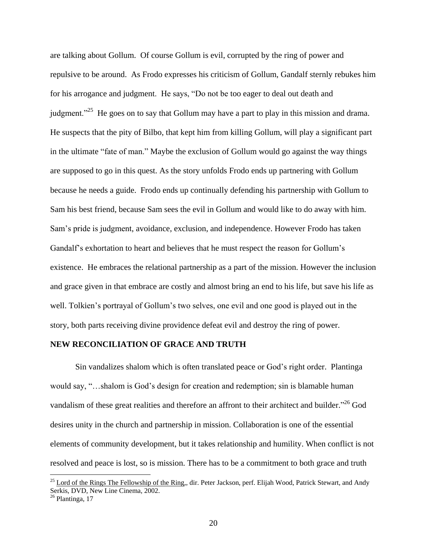are talking about Gollum. Of course Gollum is evil, corrupted by the ring of power and repulsive to be around. As Frodo expresses his criticism of Gollum, Gandalf sternly rebukes him for his arrogance and judgment. He says, "Do not be too eager to deal out death and judgment."<sup>25</sup> He goes on to say that Gollum may have a part to play in this mission and drama. He suspects that the pity of Bilbo, that kept him from killing Gollum, will play a significant part in the ultimate "fate of man." Maybe the exclusion of Gollum would go against the way things are supposed to go in this quest. As the story unfolds Frodo ends up partnering with Gollum because he needs a guide. Frodo ends up continually defending his partnership with Gollum to Sam his best friend, because Sam sees the evil in Gollum and would like to do away with him. Sam's pride is judgment, avoidance, exclusion, and independence. However Frodo has taken Gandalf's exhortation to heart and believes that he must respect the reason for Gollum's existence. He embraces the relational partnership as a part of the mission. However the inclusion and grace given in that embrace are costly and almost bring an end to his life, but save his life as well. Tolkien's portrayal of Gollum's two selves, one evil and one good is played out in the story, both parts receiving divine providence defeat evil and destroy the ring of power.

# **NEW RECONCILIATION OF GRACE AND TRUTH**

Sin vandalizes shalom which is often translated peace or God's right order. Plantinga would say, "…shalom is God's design for creation and redemption; sin is blamable human vandalism of these great realities and therefore an affront to their architect and builder."<sup>26</sup> God desires unity in the church and partnership in mission. Collaboration is one of the essential elements of community development, but it takes relationship and humility. When conflict is not resolved and peace is lost, so is mission. There has to be a commitment to both grace and truth

 $^{25}$  Lord of the Rings The Fellowship of the Ring,, dir. Peter Jackson, perf. Elijah Wood, Patrick Stewart, and Andy Serkis, DVD, New Line Cinema, 2002.

<sup>&</sup>lt;sup>26</sup> Plantinga, 17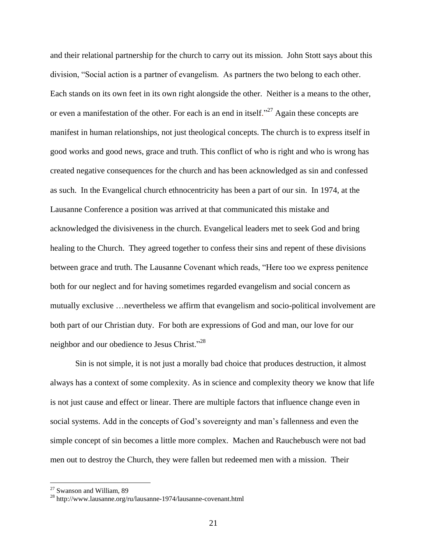and their relational partnership for the church to carry out its mission. John Stott says about this division, "Social action is a partner of evangelism. As partners the two belong to each other. Each stands on its own feet in its own right alongside the other. Neither is a means to the other, or even a manifestation of the other. For each is an end in itself."<sup>27</sup> Again these concepts are manifest in human relationships, not just theological concepts. The church is to express itself in good works and good news, grace and truth. This conflict of who is right and who is wrong has created negative consequences for the church and has been acknowledged as sin and confessed as such. In the Evangelical church ethnocentricity has been a part of our sin. In 1974, at the Lausanne Conference a position was arrived at that communicated this mistake and acknowledged the divisiveness in the church. Evangelical leaders met to seek God and bring healing to the Church. They agreed together to confess their sins and repent of these divisions between grace and truth. The Lausanne Covenant which reads, "Here too we express penitence both for our neglect and for having sometimes regarded evangelism and social concern as mutually exclusive …nevertheless we affirm that evangelism and socio-political involvement are both part of our Christian duty. For both are expressions of God and man, our love for our neighbor and our obedience to Jesus Christ."<sup>28</sup>

Sin is not simple, it is not just a morally bad choice that produces destruction, it almost always has a context of some complexity. As in science and complexity theory we know that life is not just cause and effect or linear. There are multiple factors that influence change even in social systems. Add in the concepts of God's sovereignty and man's fallenness and even the simple concept of sin becomes a little more complex. Machen and Rauchebusch were not bad men out to destroy the Church, they were fallen but redeemed men with a mission. Their

<sup>&</sup>lt;sup>27</sup> Swanson and William, 89

 $^{28}$ http://www.lausanne.org/ru/lausanne-1974/lausanne-covenant.html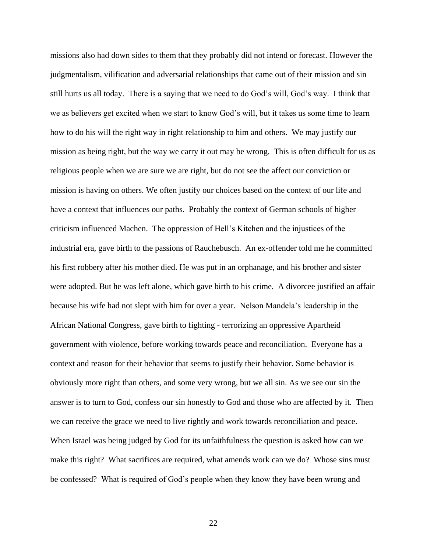missions also had down sides to them that they probably did not intend or forecast. However the judgmentalism, vilification and adversarial relationships that came out of their mission and sin still hurts us all today. There is a saying that we need to do God's will, God's way. I think that we as believers get excited when we start to know God's will, but it takes us some time to learn how to do his will the right way in right relationship to him and others. We may justify our mission as being right, but the way we carry it out may be wrong. This is often difficult for us as religious people when we are sure we are right, but do not see the affect our conviction or mission is having on others. We often justify our choices based on the context of our life and have a context that influences our paths. Probably the context of German schools of higher criticism influenced Machen. The oppression of Hell's Kitchen and the injustices of the industrial era, gave birth to the passions of Rauchebusch. An ex-offender told me he committed his first robbery after his mother died. He was put in an orphanage, and his brother and sister were adopted. But he was left alone, which gave birth to his crime. A divorcee justified an affair because his wife had not slept with him for over a year. Nelson Mandela's leadership in the African National Congress, gave birth to fighting - terrorizing an oppressive Apartheid government with violence, before working towards peace and reconciliation. Everyone has a context and reason for their behavior that seems to justify their behavior. Some behavior is obviously more right than others, and some very wrong, but we all sin. As we see our sin the answer is to turn to God, confess our sin honestly to God and those who are affected by it. Then we can receive the grace we need to live rightly and work towards reconciliation and peace. When Israel was being judged by God for its unfaithfulness the question is asked how can we make this right? What sacrifices are required, what amends work can we do? Whose sins must be confessed? What is required of God's people when they know they have been wrong and

22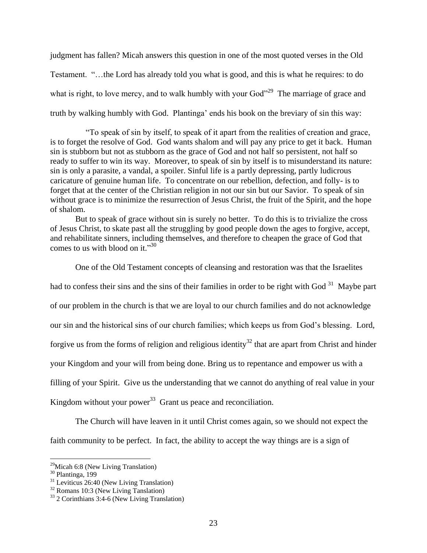judgment has fallen? Micah answers this question in one of the most quoted verses in the Old Testament. "…the Lord has already told you what is good, and this is what he requires: to do what is right, to love mercy, and to walk humbly with your  $God$ <sup>29</sup> The marriage of grace and truth by walking humbly with God. Plantinga' ends his book on the breviary of sin this way:

 "To speak of sin by itself, to speak of it apart from the realities of creation and grace, is to forget the resolve of God. God wants shalom and will pay any price to get it back. Human sin is stubborn but not as stubborn as the grace of God and not half so persistent, not half so ready to suffer to win its way. Moreover, to speak of sin by itself is to misunderstand its nature: sin is only a parasite, a vandal, a spoiler. Sinful life is a partly depressing, partly ludicrous caricature of genuine human life. To concentrate on our rebellion, defection, and folly- is to forget that at the center of the Christian religion in not our sin but our Savior. To speak of sin without grace is to minimize the resurrection of Jesus Christ, the fruit of the Spirit, and the hope of shalom.

But to speak of grace without sin is surely no better. To do this is to trivialize the cross of Jesus Christ, to skate past all the struggling by good people down the ages to forgive, accept, and rehabilitate sinners, including themselves, and therefore to cheapen the grace of God that comes to us with blood on it."<sup>30</sup>

One of the Old Testament concepts of cleansing and restoration was that the Israelites had to confess their sins and the sins of their families in order to be right with God<sup>31</sup> Maybe part of our problem in the church is that we are loyal to our church families and do not acknowledge our sin and the historical sins of our church families; which keeps us from God's blessing. Lord, forgive us from the forms of religion and religious identity<sup>32</sup> that are apart from Christ and hinder your Kingdom and your will from being done. Bring us to repentance and empower us with a filling of your Spirit. Give us the understanding that we cannot do anything of real value in your Kingdom without your power<sup>33</sup> Grant us peace and reconciliation.

The Church will have leaven in it until Christ comes again, so we should not expect the faith community to be perfect. In fact, the ability to accept the way things are is a sign of

 $29$ Micah 6:8 (New Living Translation)

<sup>30</sup> Plantinga, 199

 $31$  Leviticus 26:40 (New Living Translation)

<sup>&</sup>lt;sup>32</sup> Romans 10:3 (New Living Tanslation)

<sup>33</sup> 2 Corinthians 3:4-6 (New Living Translation)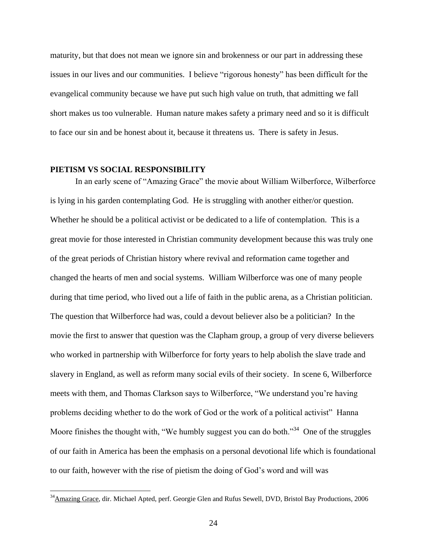maturity, but that does not mean we ignore sin and brokenness or our part in addressing these issues in our lives and our communities. I believe "rigorous honesty" has been difficult for the evangelical community because we have put such high value on truth, that admitting we fall short makes us too vulnerable. Human nature makes safety a primary need and so it is difficult to face our sin and be honest about it, because it threatens us. There is safety in Jesus.

# **PIETISM VS SOCIAL RESPONSIBILITY**

 $\overline{a}$ 

In an early scene of "Amazing Grace" the movie about William Wilberforce, Wilberforce is lying in his garden contemplating God. He is struggling with another either/or question. Whether he should be a political activist or be dedicated to a life of contemplation. This is a great movie for those interested in Christian community development because this was truly one of the great periods of Christian history where revival and reformation came together and changed the hearts of men and social systems. William Wilberforce was one of many people during that time period, who lived out a life of faith in the public arena, as a Christian politician. The question that Wilberforce had was, could a devout believer also be a politician? In the movie the first to answer that question was the Clapham group, a group of very diverse believers who worked in partnership with Wilberforce for forty years to help abolish the slave trade and slavery in England, as well as reform many social evils of their society. In scene 6, Wilberforce meets with them, and Thomas Clarkson says to Wilberforce, "We understand you're having problems deciding whether to do the work of God or the work of a political activist" Hanna Moore finishes the thought with, "We humbly suggest you can do both."<sup>34</sup> One of the struggles of our faith in America has been the emphasis on a personal devotional life which is foundational to our faith, however with the rise of pietism the doing of God's word and will was

<sup>&</sup>lt;sup>34</sup>Amazing Grace, dir. Michael Apted, perf. Georgie Glen and Rufus Sewell, DVD, Bristol Bay Productions, 2006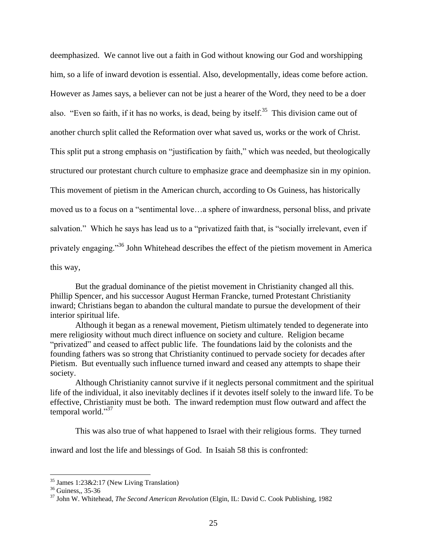deemphasized. We cannot live out a faith in God without knowing our God and worshipping him, so a life of inward devotion is essential. Also, developmentally, ideas come before action. However as James says, a believer can not be just a hearer of the Word, they need to be a doer also. "Even so faith, if it has no works, is dead, being by itself.<sup>35</sup> This division came out of another church split called the Reformation over what saved us, works or the work of Christ. This split put a strong emphasis on "justification by faith," which was needed, but theologically structured our protestant church culture to emphasize grace and deemphasize sin in my opinion. This movement of pietism in the American church, according to Os Guiness, has historically moved us to a focus on a "sentimental love…a sphere of inwardness, personal bliss, and private salvation." Which he says has lead us to a "privatized faith that, is "socially irrelevant, even if privately engaging."<sup>36</sup> John Whitehead describes the effect of the pietism movement in America this way,

But the gradual dominance of the pietist movement in Christianity changed all this. Phillip Spencer, and his successor August Herman Francke, turned Protestant Christianity inward; Christians began to abandon the cultural mandate to pursue the development of their interior spiritual life.

Although it began as a renewal movement, Pietism ultimately tended to degenerate into mere religiosity without much direct influence on society and culture. Religion became "privatized" and ceased to affect public life. The foundations laid by the colonists and the founding fathers was so strong that Christianity continued to pervade society for decades after Pietism. But eventually such influence turned inward and ceased any attempts to shape their society.

Although Christianity cannot survive if it neglects personal commitment and the spiritual life of the individual, it also inevitably declines if it devotes itself solely to the inward life. To be effective, Christianity must be both. The inward redemption must flow outward and affect the temporal world."37

This was also true of what happened to Israel with their religious forms. They turned

inward and lost the life and blessings of God. In Isaiah 58 this is confronted:

 $35$  James 1:23&2:17 (New Living Translation)

<sup>&</sup>lt;sup>36</sup> Guiness,, 35-36

<sup>37</sup> John W. Whitehead, *The Second American Revolution* (Elgin, IL: David C. Cook Publishing, 1982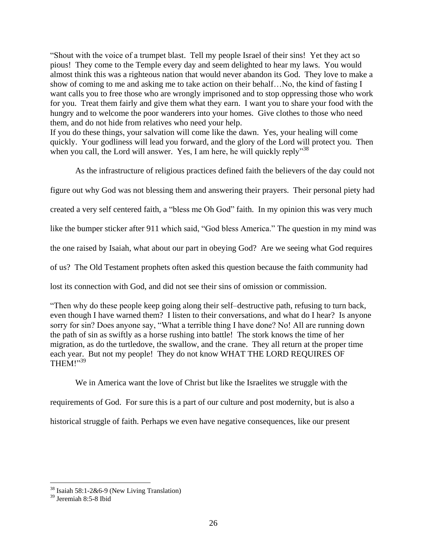"Shout with the voice of a trumpet blast. Tell my people Israel of their sins! Yet they act so pious! They come to the Temple every day and seem delighted to hear my laws. You would almost think this was a righteous nation that would never abandon its God. They love to make a show of coming to me and asking me to take action on their behalf…No, the kind of fasting I want calls you to free those who are wrongly imprisoned and to stop oppressing those who work for you. Treat them fairly and give them what they earn. I want you to share your food with the hungry and to welcome the poor wanderers into your homes. Give clothes to those who need them, and do not hide from relatives who need your help.

If you do these things, your salvation will come like the dawn. Yes, your healing will come quickly. Your godliness will lead you forward, and the glory of the Lord will protect you. Then when you call, the Lord will answer. Yes, I am here, he will quickly reply"<sup>38</sup>

As the infrastructure of religious practices defined faith the believers of the day could not

figure out why God was not blessing them and answering their prayers. Their personal piety had

created a very self centered faith, a "bless me Oh God" faith. In my opinion this was very much

like the bumper sticker after 911 which said, "God bless America." The question in my mind was

the one raised by Isaiah, what about our part in obeying God? Are we seeing what God requires

of us? The Old Testament prophets often asked this question because the faith community had

lost its connection with God, and did not see their sins of omission or commission.

"Then why do these people keep going along their self–destructive path, refusing to turn back, even though I have warned them? I listen to their conversations, and what do I hear? Is anyone sorry for sin? Does anyone say, "What a terrible thing I have done? No! All are running down the path of sin as swiftly as a horse rushing into battle! The stork knows the time of her migration, as do the turtledove, the swallow, and the crane. They all return at the proper time each year. But not my people! They do not know WHAT THE LORD REQUIRES OF THEM!"<sup>39</sup>

We in America want the love of Christ but like the Israelites we struggle with the requirements of God. For sure this is a part of our culture and post modernity, but is also a historical struggle of faith. Perhaps we even have negative consequences, like our present

 $38$  Isaiah 58:1-2&6-9 (New Living Translation)

<sup>39</sup> Jeremiah 8:5-8 Ibid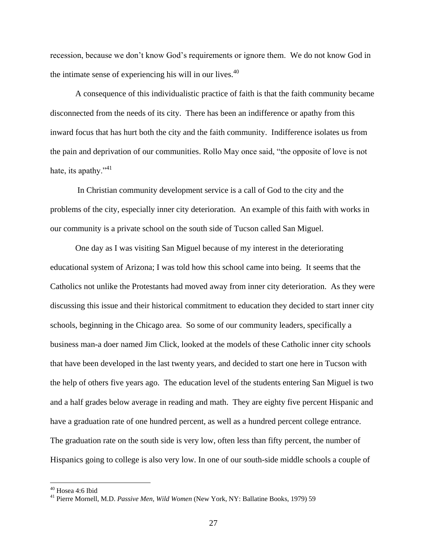recession, because we don't know God's requirements or ignore them. We do not know God in the intimate sense of experiencing his will in our lives.<sup>40</sup>

A consequence of this individualistic practice of faith is that the faith community became disconnected from the needs of its city. There has been an indifference or apathy from this inward focus that has hurt both the city and the faith community. Indifference isolates us from the pain and deprivation of our communities. Rollo May once said, "the opposite of love is not hate, its apathy." $41$ 

In Christian community development service is a call of God to the city and the problems of the city, especially inner city deterioration. An example of this faith with works in our community is a private school on the south side of Tucson called San Miguel.

One day as I was visiting San Miguel because of my interest in the deteriorating educational system of Arizona; I was told how this school came into being. It seems that the Catholics not unlike the Protestants had moved away from inner city deterioration. As they were discussing this issue and their historical commitment to education they decided to start inner city schools, beginning in the Chicago area. So some of our community leaders, specifically a business man-a doer named Jim Click, looked at the models of these Catholic inner city schools that have been developed in the last twenty years, and decided to start one here in Tucson with the help of others five years ago. The education level of the students entering San Miguel is two and a half grades below average in reading and math. They are eighty five percent Hispanic and have a graduation rate of one hundred percent, as well as a hundred percent college entrance. The graduation rate on the south side is very low, often less than fifty percent, the number of Hispanics going to college is also very low. In one of our south-side middle schools a couple of

<sup>40</sup> Hosea 4:6 Ibid

<sup>41</sup> Pierre Mornell, M.D. *Passive Men, Wild Women* (New York, NY: Ballatine Books, 1979) 59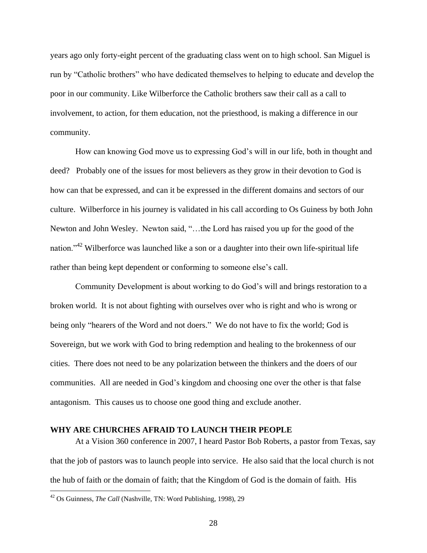years ago only forty-eight percent of the graduating class went on to high school. San Miguel is run by "Catholic brothers" who have dedicated themselves to helping to educate and develop the poor in our community. Like Wilberforce the Catholic brothers saw their call as a call to involvement, to action, for them education, not the priesthood, is making a difference in our community.

How can knowing God move us to expressing God's will in our life, both in thought and deed? Probably one of the issues for most believers as they grow in their devotion to God is how can that be expressed, and can it be expressed in the different domains and sectors of our culture. Wilberforce in his journey is validated in his call according to Os Guiness by both John Newton and John Wesley. Newton said, "…the Lord has raised you up for the good of the nation."<sup>42</sup> Wilberforce was launched like a son or a daughter into their own life-spiritual life rather than being kept dependent or conforming to someone else's call.

Community Development is about working to do God's will and brings restoration to a broken world. It is not about fighting with ourselves over who is right and who is wrong or being only "hearers of the Word and not doers." We do not have to fix the world; God is Sovereign, but we work with God to bring redemption and healing to the brokenness of our cities. There does not need to be any polarization between the thinkers and the doers of our communities. All are needed in God's kingdom and choosing one over the other is that false antagonism. This causes us to choose one good thing and exclude another.

## **WHY ARE CHURCHES AFRAID TO LAUNCH THEIR PEOPLE**

At a Vision 360 conference in 2007, I heard Pastor Bob Roberts, a pastor from Texas, say that the job of pastors was to launch people into service. He also said that the local church is not the hub of faith or the domain of faith; that the Kingdom of God is the domain of faith. His

<sup>42</sup> Os Guinness, *The Call* (Nashville, TN: Word Publishing, 1998), 29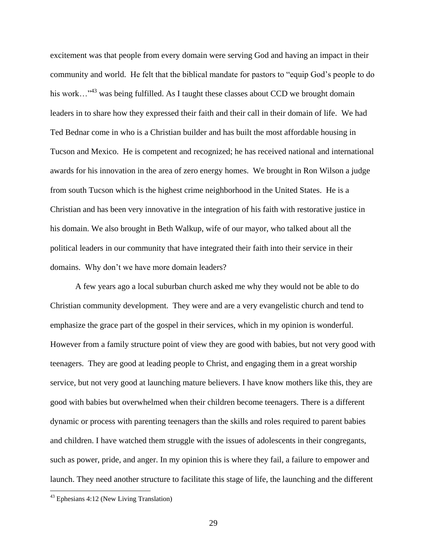excitement was that people from every domain were serving God and having an impact in their community and world. He felt that the biblical mandate for pastors to "equip God's people to do his work…<sup>43</sup> was being fulfilled. As I taught these classes about CCD we brought domain leaders in to share how they expressed their faith and their call in their domain of life. We had Ted Bednar come in who is a Christian builder and has built the most affordable housing in Tucson and Mexico. He is competent and recognized; he has received national and international awards for his innovation in the area of zero energy homes. We brought in Ron Wilson a judge from south Tucson which is the highest crime neighborhood in the United States. He is a Christian and has been very innovative in the integration of his faith with restorative justice in his domain. We also brought in Beth Walkup, wife of our mayor, who talked about all the political leaders in our community that have integrated their faith into their service in their domains. Why don't we have more domain leaders?

A few years ago a local suburban church asked me why they would not be able to do Christian community development. They were and are a very evangelistic church and tend to emphasize the grace part of the gospel in their services, which in my opinion is wonderful. However from a family structure point of view they are good with babies, but not very good with teenagers. They are good at leading people to Christ, and engaging them in a great worship service, but not very good at launching mature believers. I have know mothers like this, they are good with babies but overwhelmed when their children become teenagers. There is a different dynamic or process with parenting teenagers than the skills and roles required to parent babies and children. I have watched them struggle with the issues of adolescents in their congregants, such as power, pride, and anger. In my opinion this is where they fail, a failure to empower and launch. They need another structure to facilitate this stage of life, the launching and the different

<sup>&</sup>lt;sup>43</sup> Ephesians 4:12 (New Living Translation)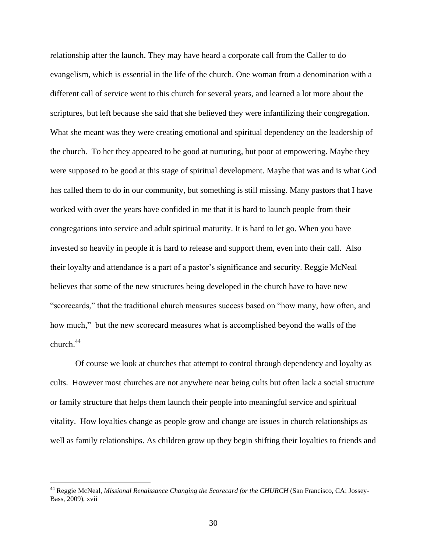relationship after the launch. They may have heard a corporate call from the Caller to do evangelism, which is essential in the life of the church. One woman from a denomination with a different call of service went to this church for several years, and learned a lot more about the scriptures, but left because she said that she believed they were infantilizing their congregation. What she meant was they were creating emotional and spiritual dependency on the leadership of the church. To her they appeared to be good at nurturing, but poor at empowering. Maybe they were supposed to be good at this stage of spiritual development. Maybe that was and is what God has called them to do in our community, but something is still missing. Many pastors that I have worked with over the years have confided in me that it is hard to launch people from their congregations into service and adult spiritual maturity. It is hard to let go. When you have invested so heavily in people it is hard to release and support them, even into their call. Also their loyalty and attendance is a part of a pastor's significance and security. Reggie McNeal believes that some of the new structures being developed in the church have to have new "scorecards," that the traditional church measures success based on "how many, how often, and how much," but the new scorecard measures what is accomplished beyond the walls of the church.<sup>44</sup>

Of course we look at churches that attempt to control through dependency and loyalty as cults. However most churches are not anywhere near being cults but often lack a social structure or family structure that helps them launch their people into meaningful service and spiritual vitality. How loyalties change as people grow and change are issues in church relationships as well as family relationships. As children grow up they begin shifting their loyalties to friends and

<sup>&</sup>lt;sup>44</sup> Reggie McNeal, *Missional Renaissance Changing the Scorecard for the CHURCH* (San Francisco, CA: Jossey-Bass, 2009), xvii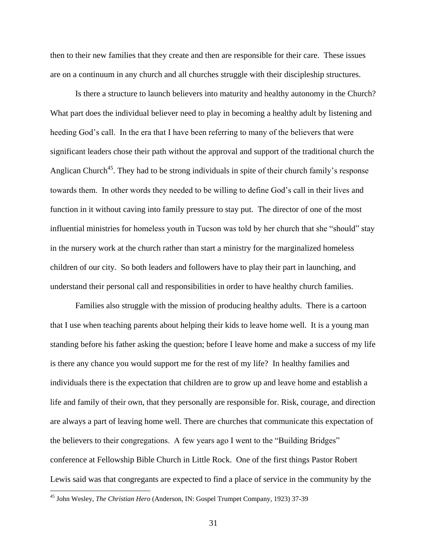then to their new families that they create and then are responsible for their care. These issues are on a continuum in any church and all churches struggle with their discipleship structures.

Is there a structure to launch believers into maturity and healthy autonomy in the Church? What part does the individual believer need to play in becoming a healthy adult by listening and heeding God's call. In the era that I have been referring to many of the believers that were significant leaders chose their path without the approval and support of the traditional church the Anglican Church<sup>45</sup>. They had to be strong individuals in spite of their church family's response towards them. In other words they needed to be willing to define God's call in their lives and function in it without caving into family pressure to stay put. The director of one of the most influential ministries for homeless youth in Tucson was told by her church that she "should" stay in the nursery work at the church rather than start a ministry for the marginalized homeless children of our city. So both leaders and followers have to play their part in launching, and understand their personal call and responsibilities in order to have healthy church families.

Families also struggle with the mission of producing healthy adults. There is a cartoon that I use when teaching parents about helping their kids to leave home well. It is a young man standing before his father asking the question; before I leave home and make a success of my life is there any chance you would support me for the rest of my life? In healthy families and individuals there is the expectation that children are to grow up and leave home and establish a life and family of their own, that they personally are responsible for. Risk, courage, and direction are always a part of leaving home well. There are churches that communicate this expectation of the believers to their congregations. A few years ago I went to the "Building Bridges" conference at Fellowship Bible Church in Little Rock. One of the first things Pastor Robert Lewis said was that congregants are expected to find a place of service in the community by the

<sup>45</sup> John Wesley, *The Christian Hero* (Anderson, IN: Gospel Trumpet Company, 1923) 37-39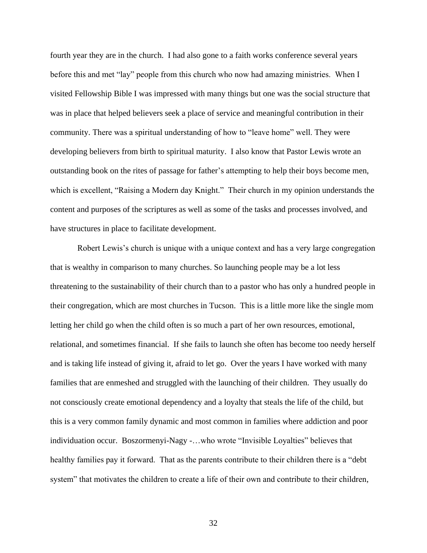fourth year they are in the church. I had also gone to a faith works conference several years before this and met "lay" people from this church who now had amazing ministries. When I visited Fellowship Bible I was impressed with many things but one was the social structure that was in place that helped believers seek a place of service and meaningful contribution in their community. There was a spiritual understanding of how to "leave home" well. They were developing believers from birth to spiritual maturity. I also know that Pastor Lewis wrote an outstanding book on the rites of passage for father's attempting to help their boys become men, which is excellent, "Raising a Modern day Knight." Their church in my opinion understands the content and purposes of the scriptures as well as some of the tasks and processes involved, and have structures in place to facilitate development.

Robert Lewis's church is unique with a unique context and has a very large congregation that is wealthy in comparison to many churches. So launching people may be a lot less threatening to the sustainability of their church than to a pastor who has only a hundred people in their congregation, which are most churches in Tucson. This is a little more like the single mom letting her child go when the child often is so much a part of her own resources, emotional, relational, and sometimes financial. If she fails to launch she often has become too needy herself and is taking life instead of giving it, afraid to let go. Over the years I have worked with many families that are enmeshed and struggled with the launching of their children. They usually do not consciously create emotional dependency and a loyalty that steals the life of the child, but this is a very common family dynamic and most common in families where addiction and poor individuation occur. Boszormenyi-Nagy -…who wrote "Invisible Loyalties" believes that healthy families pay it forward. That as the parents contribute to their children there is a "debt system" that motivates the children to create a life of their own and contribute to their children,

32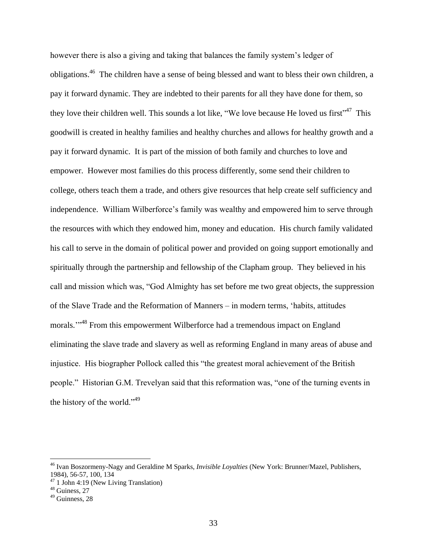however there is also a giving and taking that balances the family system's ledger of obligations.<sup>46</sup> The children have a sense of being blessed and want to bless their own children, a pay it forward dynamic. They are indebted to their parents for all they have done for them, so they love their children well. This sounds a lot like, "We love because He loved us first"<sup>47</sup> This goodwill is created in healthy families and healthy churches and allows for healthy growth and a pay it forward dynamic. It is part of the mission of both family and churches to love and empower. However most families do this process differently, some send their children to college, others teach them a trade, and others give resources that help create self sufficiency and independence. William Wilberforce's family was wealthy and empowered him to serve through the resources with which they endowed him, money and education. His church family validated his call to serve in the domain of political power and provided on going support emotionally and spiritually through the partnership and fellowship of the Clapham group. They believed in his call and mission which was, "God Almighty has set before me two great objects, the suppression of the Slave Trade and the Reformation of Manners – in modern terms, 'habits, attitudes morals."<sup>48</sup> From this empowerment Wilberforce had a tremendous impact on England eliminating the slave trade and slavery as well as reforming England in many areas of abuse and injustice. His biographer Pollock called this "the greatest moral achievement of the British people." Historian G.M. Trevelyan said that this reformation was, "one of the turning events in the history of the world."<sup>49</sup>

<sup>46</sup> Ivan Boszormeny-Nagy and Geraldine M Sparks, *Invisible Loyalties* (New York: Brunner/Mazel, Publishers, 1984), 56-57, 100, 134

 $47$  1 John 4:19 (New Living Translation)

<sup>&</sup>lt;sup>48</sup> Guiness, 27

<sup>49</sup> Guinness, 28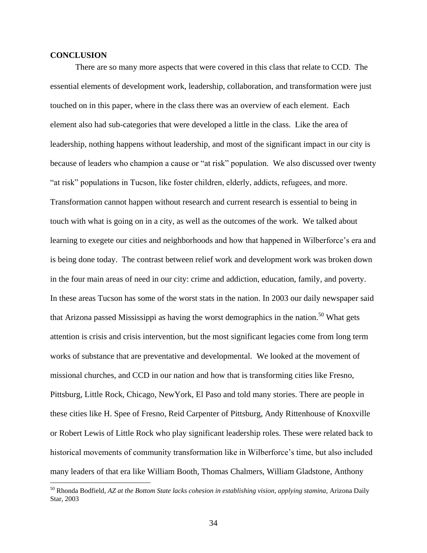## **CONCLUSION**

 $\overline{a}$ 

There are so many more aspects that were covered in this class that relate to CCD. The essential elements of development work, leadership, collaboration, and transformation were just touched on in this paper, where in the class there was an overview of each element. Each element also had sub-categories that were developed a little in the class. Like the area of leadership, nothing happens without leadership, and most of the significant impact in our city is because of leaders who champion a cause or "at risk" population. We also discussed over twenty "at risk" populations in Tucson, like foster children, elderly, addicts, refugees, and more. Transformation cannot happen without research and current research is essential to being in touch with what is going on in a city, as well as the outcomes of the work. We talked about learning to exegete our cities and neighborhoods and how that happened in Wilberforce's era and is being done today. The contrast between relief work and development work was broken down in the four main areas of need in our city: crime and addiction, education, family, and poverty. In these areas Tucson has some of the worst stats in the nation. In 2003 our daily newspaper said that Arizona passed Mississippi as having the worst demographics in the nation.<sup>50</sup> What gets attention is crisis and crisis intervention, but the most significant legacies come from long term works of substance that are preventative and developmental. We looked at the movement of missional churches, and CCD in our nation and how that is transforming cities like Fresno, Pittsburg, Little Rock, Chicago, NewYork, El Paso and told many stories. There are people in these cities like H. Spee of Fresno, Reid Carpenter of Pittsburg, Andy Rittenhouse of Knoxville or Robert Lewis of Little Rock who play significant leadership roles. These were related back to historical movements of community transformation like in Wilberforce's time, but also included many leaders of that era like William Booth, Thomas Chalmers, William Gladstone, Anthony

<sup>50</sup> Rhonda Bodfield, *AZ at the Bottom State lacks cohesion in establishing vision, applying stamina,* Arizona Daily Star, 2003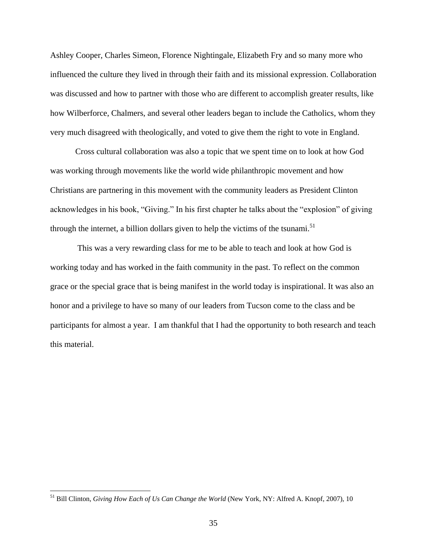Ashley Cooper, Charles Simeon, Florence Nightingale, Elizabeth Fry and so many more who influenced the culture they lived in through their faith and its missional expression. Collaboration was discussed and how to partner with those who are different to accomplish greater results, like how Wilberforce, Chalmers, and several other leaders began to include the Catholics, whom they very much disagreed with theologically, and voted to give them the right to vote in England.

Cross cultural collaboration was also a topic that we spent time on to look at how God was working through movements like the world wide philanthropic movement and how Christians are partnering in this movement with the community leaders as President Clinton acknowledges in his book, "Giving." In his first chapter he talks about the "explosion" of giving through the internet, a billion dollars given to help the victims of the tsunami.<sup>51</sup>

This was a very rewarding class for me to be able to teach and look at how God is working today and has worked in the faith community in the past. To reflect on the common grace or the special grace that is being manifest in the world today is inspirational. It was also an honor and a privilege to have so many of our leaders from Tucson come to the class and be participants for almost a year. I am thankful that I had the opportunity to both research and teach this material.

<sup>51</sup> Bill Clinton, *Giving How Each of Us Can Change the World* (New York, NY: Alfred A. Knopf, 2007), 10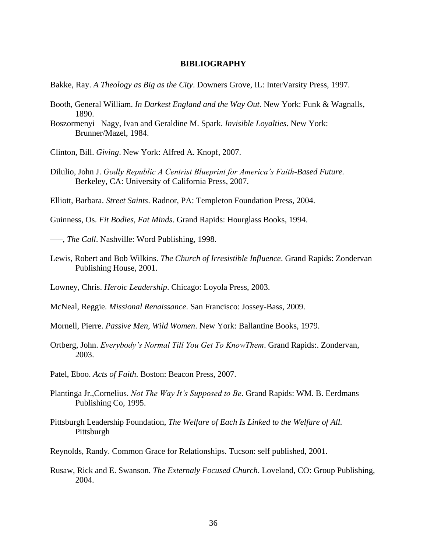#### **BIBLIOGRAPHY**

- Bakke, Ray. *A Theology as Big as the City*. Downers Grove, IL: InterVarsity Press, 1997.
- Booth, General William. *In Darkest England and the Way Out.* New York: Funk & Wagnalls, 1890.
- Boszormenyi –Nagy, Ivan and Geraldine M. Spark. *Invisible Loyalties*. New York: Brunner/Mazel, 1984.
- Clinton, Bill. *Giving*. New York: Alfred A. Knopf, 2007.
- Dilulio, John J. *Godly Republic A Centrist Blueprint for America's Faith-Based Future.* Berkeley, CA: University of California Press, 2007.
- Elliott, Barbara. *Street Saints*. Radnor, PA: Templeton Foundation Press, 2004.
- Guinness, Os. *Fit Bodies, Fat Minds*. Grand Rapids: Hourglass Books, 1994.

–––, *The Call*. Nashville: Word Publishing, 1998.

- Lewis, Robert and Bob Wilkins. *The Church of Irresistible Influence*. Grand Rapids: Zondervan Publishing House, 2001.
- Lowney, Chris. *Heroic Leadership*. Chicago: Loyola Press, 2003.
- McNeal, Reggie*. Missional Renaissance*. San Francisco: Jossey-Bass, 2009.
- Mornell, Pierre. *Passive Men, Wild Women*. New York: Ballantine Books, 1979.
- Ortberg, John. *Everybody's Normal Till You Get To KnowThem*. Grand Rapids:. Zondervan, 2003.
- Patel, Eboo. *Acts of Faith*. Boston: Beacon Press, 2007.
- Plantinga Jr.,Cornelius. *Not The Way It's Supposed to Be*. Grand Rapids: WM. B. Eerdmans Publishing Co, 1995.
- Pittsburgh Leadership Foundation, *The Welfare of Each Is Linked to the Welfare of All.* Pittsburgh
- Reynolds, Randy. Common Grace for Relationships. Tucson: self published, 2001.
- Rusaw, Rick and E. Swanson. *The Externaly Focused Church*. Loveland, CO: Group Publishing, 2004.